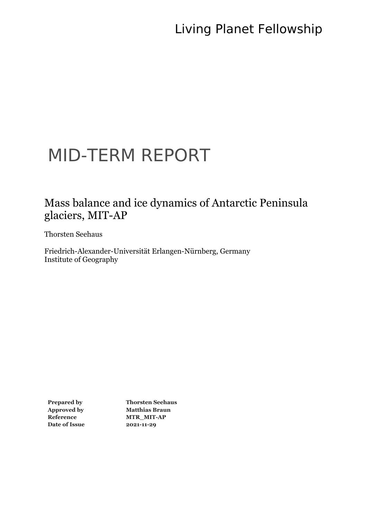# MID-TERM REPORT

### Mass balance and ice dynamics of Antarctic Peninsula glaciers, MIT-AP

Thorsten Seehaus

Friedrich-Alexander-Universität Erlangen-Nürnberg, Germany Institute of Geography

**Date of Issue 2021-11-29**

**Prepared by Thorsten Seehaus Approved by Matthias Braun Reference MTR\_MIT-AP**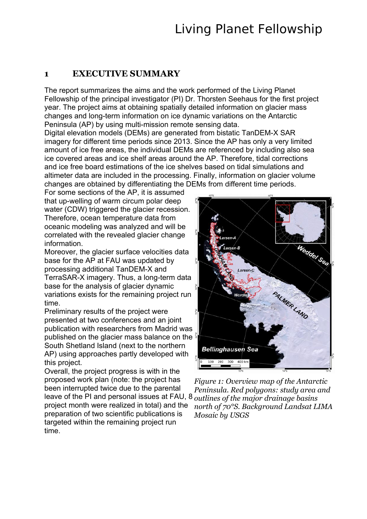#### **1 EXECUTIVE SUMMARY**

The report summarizes the aims and the work performed of the Living Planet Fellowship of the principal investigator (PI) Dr. Thorsten Seehaus for the first project year. The project aims at obtaining spatially detailed information on glacier mass changes and long-term information on ice dynamic variations on the Antarctic Peninsula (AP) by using multi-mission remote sensing data.

Digital elevation models (DEMs) are generated from bistatic TanDEM-X SAR imagery for different time periods since 2013. Since the AP has only a very limited amount of ice free areas, the individual DEMs are referenced by including also sea ice covered areas and ice shelf areas around the AP. Therefore, tidal corrections and ice free board estimations of the ice shelves based on tidal simulations and altimeter data are included in the processing. Finally, information on glacier volume changes are obtained by differentiating the DEMs from different time periods.

For some sections of the AP, it is assumed that up-welling of warm circum polar deep water (CDW) triggered the glacier recession. Therefore, ocean temperature data from oceanic modeling was analyzed and will be correlated with the revealed glacier change information.

Moreover, the glacier surface velocities data base for the AP at FAU was updated by processing additional TanDEM-X and TerraSAR-X imagery. Thus, a long-term data base for the analysis of glacier dynamic variations exists for the remaining project run time.

Preliminary results of the project were presented at two conferences and an joint publication with researchers from Madrid was published on the glacier mass balance on the South Shetland Island (next to the northern AP) using approaches partly developed with this project.

Overall, the project progress is with in the proposed work plan (note: the project has been interrupted twice due to the parental leave of the PI and personal issues at FAU, 8 *outlines of the major drainage basins*  project month were realized in total) and the preparation of two scientific publications is targeted within the remaining project run time.



*Figure 1: Overview map of the Antarctic Peninsula. Red polygons: study area and north of 70°S. Background Landsat LIMA Mosaic by USGS*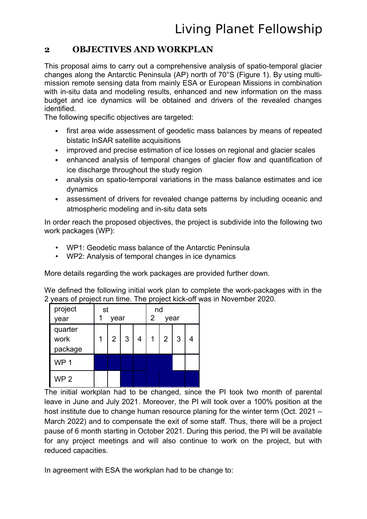### **2 OBJECTIVES AND WORKPLAN**

This proposal aims to carry out a comprehensive analysis of spatio-temporal glacier changes along the Antarctic Peninsula (AP) north of 70°S (Figure 1). By using multimission remote sensing data from mainly ESA or European Missions in combination with in-situ data and modeling results, enhanced and new information on the mass budget and ice dynamics will be obtained and drivers of the revealed changes identified.

The following specific objectives are targeted:

- first area wide assessment of geodetic mass balances by means of repeated bistatic InSAR satellite acquisitions
- improved and precise estimation of ice losses on regional and glacier scales
- enhanced analysis of temporal changes of glacier flow and quantification of ice discharge throughout the study region
- analysis on spatio-temporal variations in the mass balance estimates and ice dynamics
- assessment of drivers for revealed change patterns by including oceanic and atmospheric modeling and in-situ data sets

In order reach the proposed objectives, the project is subdivide into the following two work packages (WP):

- WP1: Geodetic mass balance of the Antarctic Peninsula
- WP2: Analysis of temporal changes in ice dynamics

More details regarding the work packages are provided further down.

We defined the following initial work plan to complete the work-packages with in the 2 years of project run time. The project kick-off was in November 2020.

| project                    | st |      |   | nd        |                |   |  |  |  |  |  |
|----------------------------|----|------|---|-----------|----------------|---|--|--|--|--|--|
| year                       |    | year |   | 2<br>year |                |   |  |  |  |  |  |
| quarter<br>work<br>package | 1  | 2    | 3 | 1         | $\overline{2}$ | 3 |  |  |  |  |  |
| WP <sub>1</sub>            |    |      |   |           |                |   |  |  |  |  |  |
| WP <sub>2</sub>            |    |      |   |           |                |   |  |  |  |  |  |

The initial workplan had to be changed, since the PI took two month of parental leave in June and July 2021. Moreover, the PI will took over a 100% position at the host institute due to change human resource planing for the winter term (Oct. 2021 – March 2022) and to compensate the exit of some staff. Thus, there will be a project pause of 6 month starting in October 2021. During this period, the PI will be available for any project meetings and will also continue to work on the project, but with reduced capacities.

In agreement with ESA the workplan had to be change to: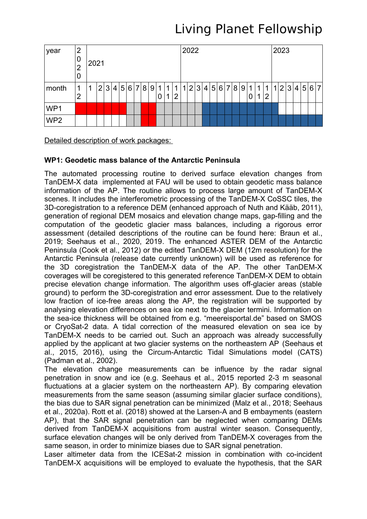| year            | $\overline{2}$<br>0<br>$\overline{2}$<br>0 | 2021 |                |   |   |  |       |  |  |     |        | 2022 |          |              |  |     |                 |  |  |  |  | 2023 |                                                                   |   |        |  |  |  |  |               |  |  |
|-----------------|--------------------------------------------|------|----------------|---|---|--|-------|--|--|-----|--------|------|----------|--------------|--|-----|-----------------|--|--|--|--|------|-------------------------------------------------------------------|---|--------|--|--|--|--|---------------|--|--|
| month           | 1<br>2                                     | 1    | 2 <sup>1</sup> | 3 | 4 |  | 5 6 7 |  |  | 8 9 | 1<br>0 | 1    | 1 1<br>႒ | $\mathbf{1}$ |  | 2 3 | $\vert 4 \vert$ |  |  |  |  |      | $\left  5\right  6\left  7\right  8\left  9\right  1\right $<br>0 | 1 | 1<br>2 |  |  |  |  | 1 2 3 4 5 6 7 |  |  |
| WP1             |                                            |      |                |   |   |  |       |  |  |     |        |      |          |              |  |     |                 |  |  |  |  |      |                                                                   |   |        |  |  |  |  |               |  |  |
| WP <sub>2</sub> |                                            |      |                |   |   |  |       |  |  |     |        |      |          |              |  |     |                 |  |  |  |  |      |                                                                   |   |        |  |  |  |  |               |  |  |

Detailed description of work packages:

#### **WP1: Geodetic mass balance of the Antarctic Peninsula**

The automated processing routine to derived surface elevation changes from TanDEM-X data implemented at FAU will be used to obtain geodetic mass balance information of the AP. The routine allows to process large amount of TanDEM-X scenes. It includes the interferometric processing of the TanDEM-X CoSSC tiles, the 3D-coregistration to a reference DEM (enhanced approach of Nuth and Kääb, 2011), generation of regional DEM mosaics and elevation change maps, gap-filling and the computation of the geodetic glacier mass balances, including a rigorous error assessment (detailed descriptions of the routine can be found here: Braun et al., 2019; Seehaus et al., 2020, 2019. The enhanced ASTER DEM of the Antarctic Peninsula (Cook et al., 2012) or the edited TanDEM-X DEM (12m resolution) for the Antarctic Peninsula (release date currently unknown) will be used as reference for the 3D coregistration the TanDEM-X data of the AP. The other TanDEM-X coverages will be coregistered to this generated reference TanDEM-X DEM to obtain precise elevation change information. The algorithm uses off-glacier areas (stable ground) to perform the 3D-coregistration and error assessment. Due to the relatively low fraction of ice-free areas along the AP, the registration will be supported by analysing elevation differences on sea ice next to the glacier termini. Information on the sea-ice thickness will be obtained from e.g. "meereisportal.de" based on SMOS or CryoSat-2 data. A tidal correction of the measured elevation on sea ice by TanDEM-X needs to be carried out. Such an approach was already successfully applied by the applicant at two glacier systems on the northeastern AP (Seehaus et al., 2015, 2016), using the Circum-Antarctic Tidal Simulations model (CATS) (Padman et al., 2002).

The elevation change measurements can be influence by the radar signal penetration in snow and ice (e.g. Seehaus et al., 2015 reported 2-3 m seasonal fluctuations at a glacier system on the northeastern AP). By comparing elevation measurements from the same season (assuming similar glacier surface conditions), the bias due to SAR signal penetration can be minimized (Malz et al., 2018; Seehaus et al., 2020a). Rott et al. (2018) showed at the Larsen-A and B embayments (eastern AP), that the SAR signal penetration can be neglected when comparing DEMs derived from TanDEM-X acquisitions from austral winter season. Consequently, surface elevation changes will be only derived from TanDEM-X coverages from the same season, in order to minimize biases due to SAR signal penetration.

Laser altimeter data from the ICESat-2 mission in combination with co-incident TanDEM-X acquisitions will be employed to evaluate the hypothesis, that the SAR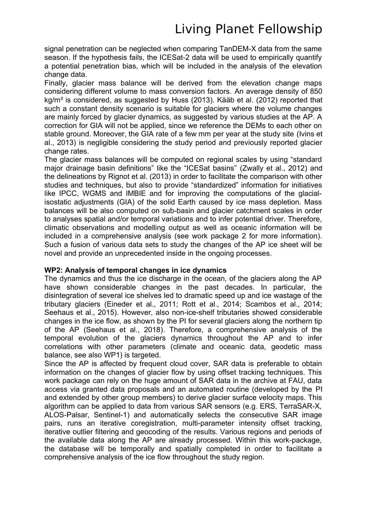signal penetration can be neglected when comparing TanDEM-X data from the same season. If the hypothesis fails, the ICESat-2 data will be used to empirically quantify a potential penetration bias, which will be included in the analysis of the elevation change data.

Finally, glacier mass balance will be derived from the elevation change maps considering different volume to mass conversion factors. An average density of 850 kg/m<sup>3</sup> is considered, as suggested by Huss (2013). Kääb et al. (2012) reported that such a constant density scenario is suitable for glaciers where the volume changes are mainly forced by glacier dynamics, as suggested by various studies at the AP. A correction for GIA will not be applied, since we reference the DEMs to each other on stable ground. Moreover, the GIA rate of a few mm per year at the study site (Ivins et al., 2013) is negligible considering the study period and previously reported glacier change rates.

The glacier mass balances will be computed on regional scales by using "standard major drainage basin definitions" like the "ICESat basins" (Zwally et al., 2012) and the delineations by Rignot et al. (2013) in order to facilitate the comparison with other studies and techniques, but also to provide "standardized" information for initiatives like IPCC, WGMS and IMBIE and for improving the computations of the glacialisostatic adjustments (GIA) of the solid Earth caused by ice mass depletion. Mass balances will be also computed on sub-basin and glacier catchment scales in order to analyses spatial and/or temporal variations and to infer potential driver. Therefore, climatic observations and modelling output as well as oceanic information will be included in a comprehensive analysis (see work package 2 for more information). Such a fusion of various data sets to study the changes of the AP ice sheet will be novel and provide an unprecedented inside in the ongoing processes.

#### **WP2: Analysis of temporal changes in ice dynamics**

The dynamics and thus the ice discharge in the ocean, of the glaciers along the AP have shown considerable changes in the past decades. In particular, the disintegration of several ice shelves led to dramatic speed up and ice wastage of the tributary glaciers (Eineder et al., 2011; Rott et al., 2014; Scambos et al., 2014; Seehaus et al., 2015). However, also non-ice-shelf tributaries showed considerable changes in the ice flow, as shown by the PI for several glaciers along the northern tip of the AP (Seehaus et al., 2018). Therefore, a comprehensive analysis of the temporal evolution of the glaciers dynamics throughout the AP and to infer correlations with other parameters (climate and oceanic data, geodetic mass balance, see also WP1) is targeted.

Since the AP is affected by frequent cloud cover, SAR data is preferable to obtain information on the changes of glacier flow by using offset tracking techniques. This work package can rely on the huge amount of SAR data in the archive at FAU, data access via granted data proposals and an automated routine (developed by the PI and extended by other group members) to derive glacier surface velocity maps. This algorithm can be applied to data from various SAR sensors (e.g. ERS, TerraSAR-X, ALOS-Palsar, Sentinel-1) and automatically selects the consecutive SAR image pairs, runs an iterative coregistration, multi-parameter intensity offset tracking, iterative outlier filtering and geocoding of the results. Various regions and periods of the available data along the AP are already processed. Within this work-package, the database will be temporally and spatially completed in order to facilitate a comprehensive analysis of the ice flow throughout the study region.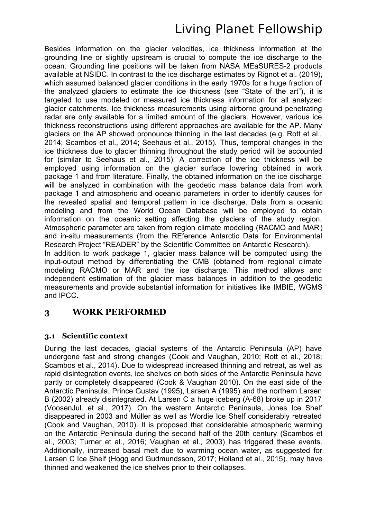Besides information on the glacier velocities, ice thickness information at the grounding line or slightly upstream is crucial to compute the ice discharge to the ocean. Grounding line positions will be taken from NASA MEaSURES-2 products available at NSIDC. In contrast to the ice discharge estimates by Rignot et al. (2019), which assumed balanced glacier conditions in the early 1970s for a huge fraction of the analyzed glaciers to estimate the ice thickness (see "State of the art"), it is targeted to use modeled or measured ice thickness information for all analyzed glacier catchments. Ice thickness measurements using airborne ground penetrating radar are only available for a limited amount of the glaciers. However, various ice thickness reconstructions using different approaches are available for the AP. Many glaciers on the AP showed pronounce thinning in the last decades (e.g. Rott et al., 2014; Scambos et al., 2014; Seehaus et al., 2015). Thus, temporal changes in the ice thickness due to glacier thinning throughout the study period will be accounted for (similar to Seehaus et al., 2015). A correction of the ice thickness will be employed using information on the glacier surface lowering obtained in work package 1 and from literature. Finally, the obtained information on the ice discharge will be analyzed in combination with the geodetic mass balance data from work package 1 and atmospheric and oceanic parameters in order to identify causes for the revealed spatial and temporal pattern in ice discharge. Data from a oceanic modeling and from the World Ocean Database will be employed to obtain information on the oceanic setting affecting the glaciers of the study region. Atmospheric parameter are taken from region climate modeling (RACMO and MAR) and in-situ measurements (from the REference Antarctic Data for Environmental Research Project "READER" by the Scientific Committee on Antarctic Research). In addition to work package 1, glacier mass balance will be computed using the input-output method by differentiating the CMB (obtained from regional climate modeling RACMO or MAR and the ice discharge. This method allows and independent estimation of the glacier mass balances in addition to the geodetic measurements and provide substantial information for initiatives like IMBIE, WGMS and IPCC.

#### **3 WORK PERFORMED**

#### **3.1 Scientific context**

During the last decades, glacial systems of the Antarctic Peninsula (AP) have undergone fast and strong changes (Cook and Vaughan, 2010; Rott et al., 2018; Scambos et al., 2014). Due to widespread increased thinning and retreat, as well as rapid disintegration events, ice shelves on both sides of the Antarctic Peninsula have partly or completely disappeared (Cook & Vaughan 2010). On the east side of the Antarctic Peninsula, Prince Gustav (1995), Larsen A (1995) and the northern Larsen B (2002) already disintegrated. At Larsen C a huge iceberg (A-68) broke up in 2017 (VoosenJul. et al., 2017). On the western Antarctic Peninsula, Jones Ice Shelf disappeared in 2003 and Müller as well as Wordie Ice Shelf considerably retreated (Cook and Vaughan, 2010). It is proposed that considerable atmospheric warming on the Antarctic Peninsula during the second half of the 20th century (Scambos et al., 2003; Turner et al., 2016; Vaughan et al., 2003) has triggered these events. Additionally, increased basal melt due to warming ocean water, as suggested for Larsen C Ice Shelf (Hogg and Gudmundsson, 2017; Holland et al., 2015), may have thinned and weakened the ice shelves prior to their collapses.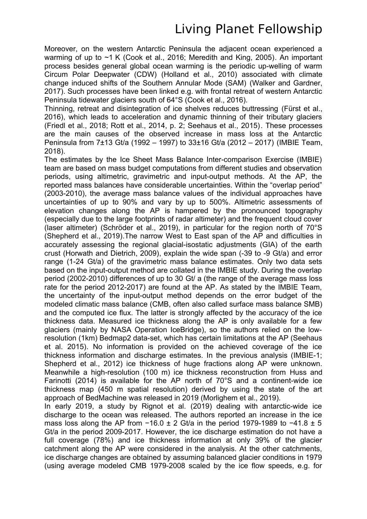Moreover, on the western Antarctic Peninsula the adjacent ocean experienced a warming of up to ~1 K (Cook et al., 2016; Meredith and King, 2005). An important process besides general global ocean warming is the periodic up-welling of warm Circum Polar Deepwater (CDW) (Holland et al., 2010) associated with climate change induced shifts of the Southern Annular Mode (SAM) (Walker and Gardner, 2017). Such processes have been linked e.g. with frontal retreat of western Antarctic Peninsula tidewater glaciers south of 64°S (Cook et al., 2016).

Thinning, retreat and disintegration of ice shelves reduces buttressing (Fürst et al., 2016), which leads to acceleration and dynamic thinning of their tributary glaciers (Friedl et al., 2018; Rott et al., 2014, p. 2; Seehaus et al., 2015). These processes are the main causes of the observed increase in mass loss at the Antarctic Peninsula from 7±13 Gt/a (1992 – 1997) to 33±16 Gt/a (2012 – 2017) (IMBIE Team, 2018).

The estimates by the Ice Sheet Mass Balance Inter-comparison Exercise (IMBIE) team are based on mass budget computations from different studies and observation periods, using altimetric, gravimetric and input-output methods. At the AP, the reported mass balances have considerable uncertainties. Within the "overlap period" (2003-2010), the average mass balance values of the individual approaches have uncertainties of up to 90% and vary by up to 500%. Altimetric assessments of elevation changes along the AP is hampered by the pronounced topography (especially due to the large footprints of radar altimeter) and the frequent cloud cover (laser altimeter) (Schröder et al., 2019), in particular for the region north of 70°S (Shepherd et al., 2019).The narrow West to East span of the AP and difficulties in accurately assessing the regional glacial-isostatic adjustments (GIA) of the earth crust (Horwath and Dietrich, 2009), explain the wide span (-39 to -9 Gt/a) and error range (1-24 Gt/a) of the gravimetric mass balance estimates. Only two data sets based on the input-output method are collated in the IMBIE study. During the overlap period (2002-2010) differences of up to 30 Gt/ a (the range of the average mass loss rate for the period 2012-2017) are found at the AP. As stated by the IMBIE Team, the uncertainty of the input-output method depends on the error budget of the modeled climatic mass balance (CMB, often also called surface mass balance SMB) and the computed ice flux. The latter is strongly affected by the accuracy of the ice thickness data. Measured ice thickness along the AP is only available for a few glaciers (mainly by NASA Operation IceBridge), so the authors relied on the lowresolution (1km) Bedmap2 data-set, which has certain limitations at the AP (Seehaus et al. 2015). No information is provided on the achieved coverage of the ice thickness information and discharge estimates. In the previous analysis (IMBIE-1; Shepherd et al., 2012) ice thickness of huge fractions along AP were unknown. Meanwhile a high-resolution (100 m) ice thickness reconstruction from Huss and Farinotti (2014) is available for the AP north of 70°S and a continent-wide ice thickness map (450 m spatial resolution) derived by using the state of the art approach of BedMachine was released in 2019 (Morlighem et al., 2019).

In early 2019, a study by Rignot et al. (2019) dealing with antarctic-wide ice discharge to the ocean was released. The authors reported an increase in the ice mass loss along the AP from −16.0 ± 2 Gt/a in the period 1979-1989 to −41.8 ± 5 Gt/a in the period 2009-2017. However, the ice discharge estimation do not have a full coverage (78%) and ice thickness information at only 39% of the glacier catchment along the AP were considered in the analysis. At the other catchments, ice discharge changes are obtained by assuming balanced glacier conditions in 1979 (using average modeled CMB 1979-2008 scaled by the ice flow speeds, e.g. for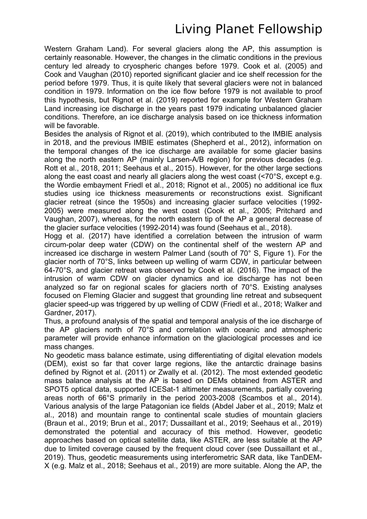Western Graham Land). For several glaciers along the AP, this assumption is certainly reasonable. However, the changes in the climatic conditions in the previous century led already to cryospheric changes before 1979. Cook et al. (2005) and Cook and Vaughan (2010) reported significant glacier and ice shelf recession for the period before 1979. Thus, it is quite likely that several glaciers were not in balanced condition in 1979. Information on the ice flow before 1979 is not available to proof this hypothesis, but Rignot et al. (2019) reported for example for Western Graham Land increasing ice discharge in the years past 1979 indicating unbalanced glacier conditions. Therefore, an ice discharge analysis based on ice thickness information will be favorable.

Besides the analysis of Rignot et al. (2019), which contributed to the IMBIE analysis in 2018, and the previous IMBIE estimates (Shepherd et al., 2012), information on the temporal changes of the ice discharge are available for some glacier basins along the north eastern AP (mainly Larsen-A/B region) for previous decades (e.g. Rott et al., 2018, 2011; Seehaus et al., 2015). However, for the other large sections along the east coast and nearly all glaciers along the west coast (<70°S, except e.g. the Wordie embayment Friedl et al., 2018; Rignot et al., 2005) no additional ice flux studies using ice thickness measurements or reconstructions exist. Significant glacier retreat (since the 1950s) and increasing glacier surface velocities (1992- 2005) were measured along the west coast (Cook et al., 2005; Pritchard and Vaughan, 2007), whereas, for the north eastern tip of the AP a general decrease of the glacier surface velocities (1992-2014) was found (Seehaus et al., 2018).

Hogg et al. (2017) have identified a correlation between the intrusion of warm circum-polar deep water (CDW) on the continental shelf of the western AP and increased ice discharge in western Palmer Land (south of 70° S. Figure 1). For the glacier north of 70°S, links between up welling of warm CDW, in particular between 64-70°S, and glacier retreat was observed by Cook et al. (2016). The impact of the intrusion of warm CDW on glacier dynamics and ice discharge has not been analyzed so far on regional scales for glaciers north of 70°S. Existing analyses focused on Fleming Glacier and suggest that grounding line retreat and subsequent glacier speed-up was triggered by up welling of CDW (Friedl et al., 2018; Walker and Gardner, 2017).

Thus, a profound analysis of the spatial and temporal analysis of the ice discharge of the AP glaciers north of 70°S and correlation with oceanic and atmospheric parameter will provide enhance information on the glaciological processes and ice mass changes.

No geodetic mass balance estimate, using differentiating of digital elevation models (DEM), exist so far that cover large regions, like the antarctic drainage basins defined by Rignot et al. (2011) or Zwally et al. (2012). The most extended geodetic mass balance analysis at the AP is based on DEMs obtained from ASTER and SPOT5 optical data, supported ICESat-1 altimeter measurements, partially covering areas north of 66°S primarily in the period 2003-2008 (Scambos et al., 2014). Various analysis of the large Patagonian ice fields (Abdel Jaber et al., 2019; Malz et al., 2018) and mountain range to continental scale studies of mountain glaciers (Braun et al., 2019; Brun et al., 2017; Dussaillant et al., 2019; Seehaus et al., 2019) demonstrated the potential and accuracy of this method. However, geodetic approaches based on optical satellite data, like ASTER, are less suitable at the AP due to limited coverage caused by the frequent cloud cover (see Dussaillant et al., 2019). Thus, geodetic measurements using interferometric SAR data, like TanDEM-X (e.g. Malz et al., 2018; Seehaus et al., 2019) are more suitable. Along the AP, the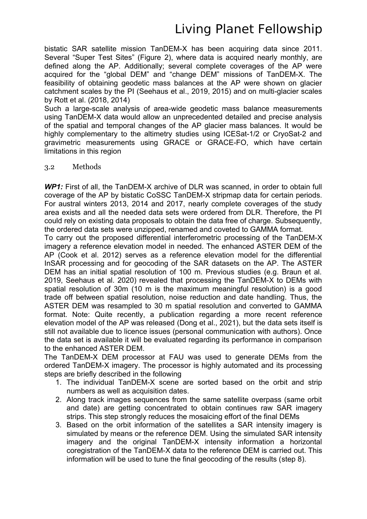bistatic SAR satellite mission TanDEM-X has been acquiring data since 2011. Several "Super Test Sites" (Figure 2), where data is acquired nearly monthly, are defined along the AP. Additionally; several complete coverages of the AP were acquired for the "global DEM" and "change DEM" missions of TanDEM-X. The feasibility of obtaining geodetic mass balances at the AP were shown on glacier catchment scales by the PI (Seehaus et al., 2019, 2015) and on multi-glacier scales by Rott et al. (2018, 2014)

Such a large-scale analysis of area-wide geodetic mass balance measurements using TanDEM-X data would allow an unprecedented detailed and precise analysis of the spatial and temporal changes of the AP glacier mass balances. It would be highly complementary to the altimetry studies using ICESat-1/2 or CryoSat-2 and gravimetric measurements using GRACE or GRACE-FO, which have certain limitations in this region

#### 3.2 Methods

*WP1:* First of all, the TanDEM-X archive of DLR was scanned, in order to obtain full coverage of the AP by bistatic CoSSC TanDEM-X stripmap data for certain periods. For austral winters 2013, 2014 and 2017, nearly complete coverages of the study area exists and all the needed data sets were ordered from DLR. Therefore, the PI could rely on existing data proposals to obtain the data free of charge. Subsequently, the ordered data sets were unzipped, renamed and coveted to GAMMA format.

To carry out the proposed differential interferometric processing of the TanDEM-X imagery a reference elevation model in needed. The enhanced ASTER DEM of the AP (Cook et al. 2012) serves as a reference elevation model for the differential InSAR processing and for geocoding of the SAR datasets on the AP. The ASTER DEM has an initial spatial resolution of 100 m. Previous studies (e.g. Braun et al. 2019, Seehaus et al. 2020) revealed that processing the TanDEM-X to DEMs with spatial resolution of 30m (10 m is the maximum meaningful resolution) is a good trade off between spatial resolution, noise reduction and date handling. Thus, the ASTER DEM was resampled to 30 m spatial resolution and converted to GAMMA format. Note: Quite recently, a publication regarding a more recent reference elevation model of the AP was released (Dong et al., 2021), but the data sets itself is still not available due to licence issues (personal communication with authors). Once the data set is available it will be evaluated regarding its performance in comparison to the enhanced ASTER DEM.

The TanDEM-X DEM processor at FAU was used to generate DEMs from the ordered TanDEM-X imagery. The processor is highly automated and its processing steps are briefly described in the following

- 1. The individual TanDEM-X scene are sorted based on the orbit and strip numbers as well as acquisition dates.
- 2. Along track images sequences from the same satellite overpass (same orbit and date) are getting concentrated to obtain continues raw SAR imagery strips. This step strongly reduces the mosaicing effort of the final DEMs
- 3. Based on the orbit information of the satellites a SAR intensity imagery is simulated by means or the reference DEM. Using the simulated SAR intensity imagery and the original TanDEM-X intensity information a horizontal coregistration of the TanDEM-X data to the reference DEM is carried out. This information will be used to tune the final geocoding of the results (step 8).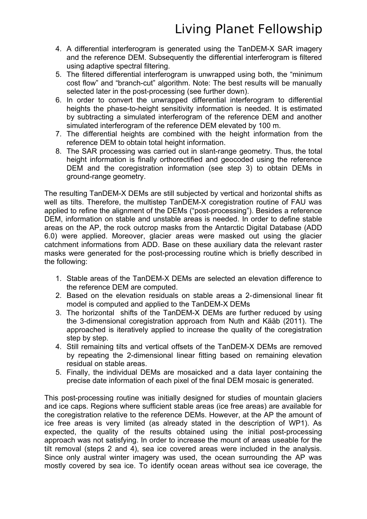- 4. A differential interferogram is generated using the TanDEM-X SAR imagery and the reference DEM. Subsequently the differential interferogram is filtered using adaptive spectral filtering.
- 5. The filtered differential interferogram is unwrapped using both, the "minimum cost flow" and "branch-cut" algorithm. Note: The best results will be manually selected later in the post-processing (see further down).
- 6. In order to convert the unwrapped differential interferogram to differential heights the phase-to-height sensitivity information is needed. It is estimated by subtracting a simulated interferogram of the reference DEM and another simulated interferogram of the reference DEM elevated by 100 m.
- 7. The differential heights are combined with the height information from the reference DEM to obtain total height information.
- 8. The SAR processing was carried out in slant-range geometry. Thus, the total height information is finally orthorectified and geocoded using the reference DEM and the coregistration information (see step 3) to obtain DEMs in ground-range geometry.

The resulting TanDEM-X DEMs are still subjected by vertical and horizontal shifts as well as tilts. Therefore, the multistep TanDEM-X coregistration routine of FAU was applied to refine the alignment of the DEMs ("post-processing"). Besides a reference DEM, information on stable and unstable areas is needed. In order to define stable areas on the AP, the rock outcrop masks from the Antarctic Digital Database (ADD 6.0) were applied. Moreover, glacier areas were masked out using the glacier catchment informations from ADD. Base on these auxiliary data the relevant raster masks were generated for the post-processing routine which is briefly described in the following:

- 1. Stable areas of the TanDEM-X DEMs are selected an elevation difference to the reference DEM are computed.
- 2. Based on the elevation residuals on stable areas a 2-dimensional linear fit model is computed and applied to the TanDEM-X DEMs
- 3. The horizontal shifts of the TanDEM-X DEMs are further reduced by using the 3-dimensional coregistration approach from Nuth and Kääb (2011). The approached is iteratively applied to increase the quality of the coregistration step by step.
- 4. Still remaining tilts and vertical offsets of the TanDEM-X DEMs are removed by repeating the 2-dimensional linear fitting based on remaining elevation residual on stable areas.
- 5. Finally, the individual DEMs are mosaicked and a data layer containing the precise date information of each pixel of the final DEM mosaic is generated.

This post-processing routine was initially designed for studies of mountain glaciers and ice caps. Regions where sufficient stable areas (ice free areas) are available for the coregistration relative to the reference DEMs. However, at the AP the amount of ice free areas is very limited (as already stated in the description of WP1). As expected, the quality of the results obtained using the initial post-processing approach was not satisfying. In order to increase the mount of areas useable for the tilt removal (steps 2 and 4), sea ice covered areas were included in the analysis. Since only austral winter imagery was used, the ocean surrounding the AP was mostly covered by sea ice. To identify ocean areas without sea ice coverage, the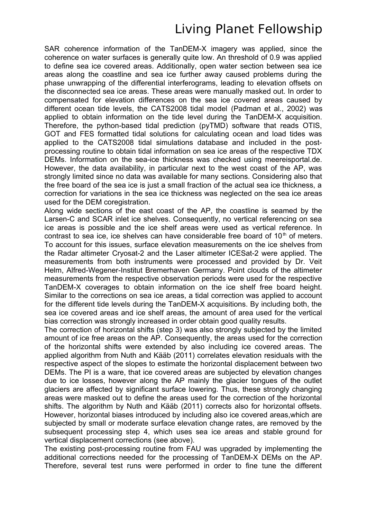SAR coherence information of the TanDEM-X imagery was applied, since the coherence on water surfaces is generally quite low. An threshold of 0.9 was applied to define sea ice covered areas. Additionally, open water section between sea ice areas along the coastline and sea ice further away caused problems during the phase unwrapping of the differential interferograms, leading to elevation offsets on the disconnected sea ice areas. These areas were manually masked out. In order to compensated for elevation differences on the sea ice covered areas caused by different ocean tide levels, the CATS2008 tidal model (Padman et al., 2002) was applied to obtain information on the tide level during the TanDEM-X acquisition. Therefore, the python-based tidal prediction (pyTMD) software that reads OTIS, GOT and FES formatted tidal solutions for calculating ocean and load tides was applied to the CATS2008 tidal simulations database and included in the postprocessing routine to obtain tidal information on sea ice areas of the respective TDX DEMs. Information on the sea-ice thickness was checked using meereisportal.de. However, the data availability, in particular next to the west coast of the AP, was strongly limited since no data was available for many sections. Considering also that the free board of the sea ice is just a small fraction of the actual sea ice thickness, a correction for variations in the sea ice thickness was neglected on the sea ice areas used for the DEM coregistration.

Along wide sections of the east coast of the AP, the coastline is seamed by the Larsen-C and SCAR inlet ice shelves. Consequently, no vertical referencing on sea ice areas is possible and the ice shelf areas were used as vertical reference. In contrast to sea ice, ice shelves can have considerable free board of  $10<sup>th</sup>$  of meters. To account for this issues, surface elevation measurements on the ice shelves from the Radar altimeter Cryosat-2 and the Laser altimeter ICESat-2 were applied. The measurements from both instruments were processed and provided by Dr. Veit Helm, Alfred-Wegener-Institut Bremerhaven Germany. Point clouds of the altimeter measurements from the respective observation periods were used for the respective TanDEM-X coverages to obtain information on the ice shelf free board height. Similar to the corrections on sea ice areas, a tidal correction was applied to account for the different tide levels during the TanDEM-X acquisitions. By including both, the sea ice covered areas and ice shelf areas, the amount of area used for the vertical bias correction was strongly increased in order obtain good quality results.

The correction of horizontal shifts (step 3) was also strongly subjected by the limited amount of ice free areas on the AP. Consequently, the areas used for the correction of the horizontal shifts were extended by also including ice covered areas. The applied algorithm from Nuth and Kääb (2011) correlates elevation residuals with the respective aspect of the slopes to estimate the horizontal displacement between two DEMs. The PI is a ware, that ice covered areas are subjected by elevation changes due to ice losses, however along the AP mainly the glacier tongues of the outlet glaciers are affected by significant surface lowering. Thus, these strongly changing areas were masked out to define the areas used for the correction of the horizontal shifts. The algorithm by Nuth and Kääb (2011) corrects also for horizontal offsets. However, horizontal biases introduced by including also ice covered areas,which are subjected by small or moderate surface elevation change rates, are removed by the subsequent processing step 4, which uses sea ice areas and stable ground for vertical displacement corrections (see above).

The existing post-processing routine from FAU was upgraded by implementing the additional corrections needed for the processing of TanDEM-X DEMs on the AP. Therefore, several test runs were performed in order to fine tune the different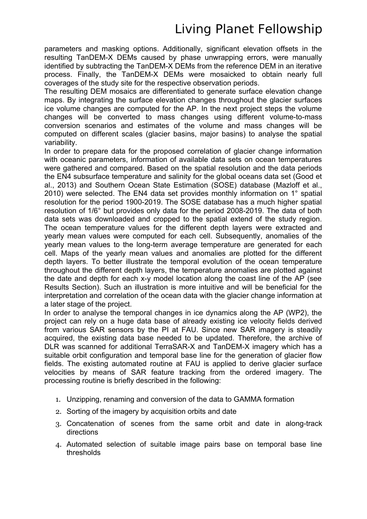parameters and masking options. Additionally, significant elevation offsets in the resulting TanDEM-X DEMs caused by phase unwrapping errors, were manually identified by subtracting the TanDEM-X DEMs from the reference DEM in an iterative process. Finally, the TanDEM-X DEMs were mosaicked to obtain nearly full coverages of the study site for the respective observation periods.

The resulting DEM mosaics are differentiated to generate surface elevation change maps. By integrating the surface elevation changes throughout the glacier surfaces ice volume changes are computed for the AP. In the next project steps the volume changes will be converted to mass changes using different volume-to-mass conversion scenarios and estimates of the volume and mass changes will be computed on different scales (glacier basins, major basins) to analyse the spatial variability.

In order to prepare data for the proposed correlation of glacier change information with oceanic parameters, information of available data sets on ocean temperatures were gathered and compared. Based on the spatial resolution and the data periods the EN4 subsurface temperature and salinity for the global oceans data set (Good et al., 2013) and Southern Ocean State Estimation (SOSE) database (Mazloff et al., 2010) were selected. The EN4 data set provides monthly information on 1° spatial resolution for the period 1900-2019. The SOSE database has a much higher spatial resolution of 1/6° but provides only data for the period 2008-2019. The data of both data sets was downloaded and cropped to the spatial extend of the study region. The ocean temperature values for the different depth layers were extracted and yearly mean values were computed for each cell. Subsequently, anomalies of the yearly mean values to the long-term average temperature are generated for each cell. Maps of the yearly mean values and anomalies are plotted for the different depth layers. To better illustrate the temporal evolution of the ocean temperature throughout the different depth layers, the temperature anomalies are plotted against the date and depth for each x-y model location along the coast line of the AP (see Results Section). Such an illustration is more intuitive and will be beneficial for the interpretation and correlation of the ocean data with the glacier change information at a later stage of the project.

In order to analyse the temporal changes in ice dynamics along the AP (WP2), the project can rely on a huge data base of already existing ice velocity fields derived from various SAR sensors by the PI at FAU. Since new SAR imagery is steadily acquired, the existing data base needed to be updated. Therefore, the archive of DLR was scanned for additional TerraSAR-X and TanDEM-X imagery which has a suitable orbit configuration and temporal base line for the generation of glacier flow fields. The existing automated routine at FAU is applied to derive glacier surface velocities by means of SAR feature tracking from the ordered imagery. The processing routine is briefly described in the following:

- 1. Unzipping, renaming and conversion of the data to GAMMA formation
- 2. Sorting of the imagery by acquisition orbits and date
- 3. Concatenation of scenes from the same orbit and date in along-track directions
- 4. Automated selection of suitable image pairs base on temporal base line thresholds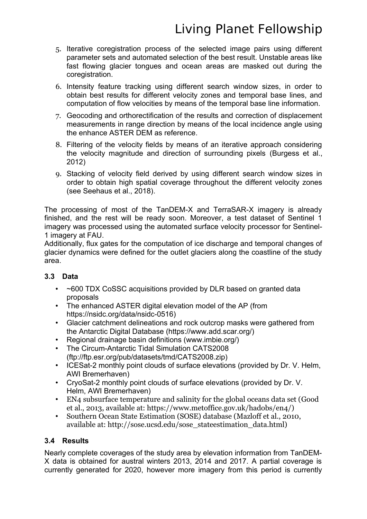- 5. Iterative coregistration process of the selected image pairs using different parameter sets and automated selection of the best result. Unstable areas like fast flowing glacier tongues and ocean areas are masked out during the coregistration.
- 6. Intensity feature tracking using different search window sizes, in order to obtain best results for different velocity zones and temporal base lines, and computation of flow velocities by means of the temporal base line information.
- 7. Geocoding and orthorectification of the results and correction of displacement measurements in range direction by means of the local incidence angle using the enhance ASTER DEM as reference.
- 8. Filtering of the velocity fields by means of an iterative approach considering the velocity magnitude and direction of surrounding pixels (Burgess et al., 2012)
- 9. Stacking of velocity field derived by using different search window sizes in order to obtain high spatial coverage throughout the different velocity zones (see Seehaus et al., 2018).

The processing of most of the TanDEM-X and TerraSAR-X imagery is already finished, and the rest will be ready soon. Moreover, a test dataset of Sentinel 1 imagery was processed using the automated surface velocity processor for Sentinel-1 imagery at FAU.

Additionally, flux gates for the computation of ice discharge and temporal changes of glacier dynamics were defined for the outlet glaciers along the coastline of the study area.

#### **3.3 Data**

- ~600 TDX CoSSC acquisitions provided by DLR based on granted data proposals
- The enhanced ASTER digital elevation model of the AP (from https://nsidc.org/data/nsidc-0516)
- Glacier catchment delineations and rock outcrop masks were gathered from the Antarctic Digital Database (https://www.add.scar.org/)
- Regional drainage basin definitions (www.imbie.org/)
- The Circum-Antarctic Tidal Simulation CATS2008 (ftp://ftp.esr.org/pub/datasets/tmd/CATS2008.zip)
- ICESat-2 monthly point clouds of surface elevations (provided by Dr. V. Helm, AWI Bremerhaven)
- CryoSat-2 monthly point clouds of surface elevations (provided by Dr. V. Helm, AWI Bremerhaven)
- EN4 subsurface temperature and salinity for the global oceans data set (Good et al., 2013, available at: https://www.metoffice.gov.uk/hadobs/en4/)
- Southern Ocean State Estimation (SOSE) database (Mazloff et al., 2010, available at: http://sose.ucsd.edu/sose\_stateestimation\_data.html)

#### **3.4 Results**

Nearly complete coverages of the study area by elevation information from TanDEM-X data is obtained for austral winters 2013, 2014 and 2017. A partial coverage is currently generated for 2020, however more imagery from this period is currently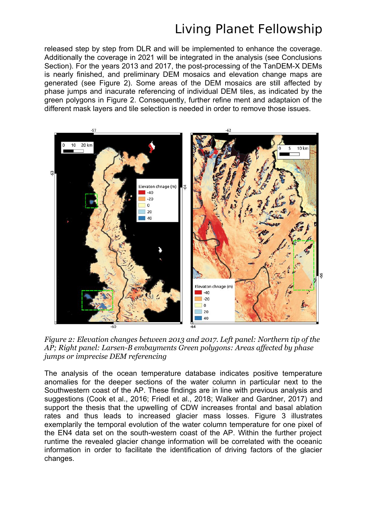released step by step from DLR and will be implemented to enhance the coverage. Additionally the coverage in 2021 will be integrated in the analysis (see Conclusions Section). For the years 2013 and 2017, the post-processing of the TanDEM-X DEMs is nearly finished, and preliminary DEM mosaics and elevation change maps are generated (see Figure 2). Some areas of the DEM mosaics are still affected by phase jumps and inacurate referencing of individual DEM tiles, as indicated by the green polygons in Figure 2. Consequently, further refine ment and adaptaion of the different mask layers and tile selection is needed in order to remove those issues.



*Figure 2: Elevation changes between 2013 and 2017. Left panel: Northern tip of the AP; Right panel: Larsen-B embayments Green polygons: Areas affected by phase jumps or imprecise DEM referencing*

The analysis of the ocean temperature database indicates positive temperature anomalies for the deeper sections of the water column in particular next to the Southwestern coast of the AP. These findings are in line with previous analysis and suggestions (Cook et al., 2016; Friedl et al., 2018; Walker and Gardner, 2017) and support the thesis that the upwelling of CDW increases frontal and basal ablation rates and thus leads to increased glacier mass losses. Figure [3](#page-14-0) illustrates exemplarily the temporal evolution of the water column temperature for one pixel of the EN4 data set on the south-western coast of the AP. Within the further project runtime the revealed glacier change information will be correlated with the oceanic information in order to facilitate the identification of driving factors of the glacier changes.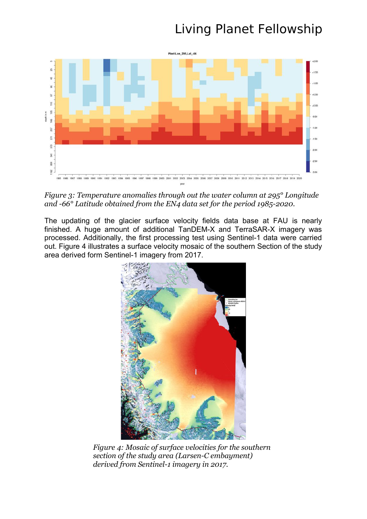

<span id="page-14-0"></span>*Figure 3: Temperature anomalies through out the water column at 295° Longitude and -66° Latitude obtained from the EN4 data set for the period 1985-2020.*

The updating of the glacier surface velocity fields data base at FAU is nearly finished. A huge amount of additional TanDEM-X and TerraSAR-X imagery was processed. Additionally, the first processing test using Sentinel-1 data were carried out. Figure [4](#page-14-1) illustrates a surface velocity mosaic of the southern Section of the study area derived form Sentinel-1 imagery from 2017.

<span id="page-14-1"></span>

*Figure 4: Mosaic of surface velocities for the southern section of the study area (Larsen-C embayment) derived from Sentinel-1 imagery in 2017.*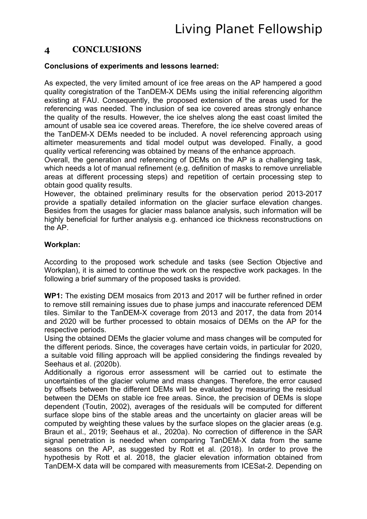### **4 CONCLUSIONS**

#### **Conclusions of experiments and lessons learned:**

As expected, the very limited amount of ice free areas on the AP hampered a good quality coregistration of the TanDEM-X DEMs using the initial referencing algorithm existing at FAU. Consequently, the proposed extension of the areas used for the referencing was needed. The inclusion of sea ice covered areas strongly enhance the quality of the results. However, the ice shelves along the east coast limited the amount of usable sea ice covered areas. Therefore, the ice shelve covered areas of the TanDEM-X DEMs needed to be included. A novel referencing approach using altimeter measurements and tidal model output was developed. Finally, a good quality vertical referencing was obtained by means of the enhance approach.

Overall, the generation and referencing of DEMs on the AP is a challenging task, which needs a lot of manual refinement (e.g. definition of masks to remove unreliable areas at different processing steps) and repetition of certain processing step to obtain good quality results.

However, the obtained preliminary results for the observation period 2013-2017 provide a spatially detailed information on the glacier surface elevation changes. Besides from the usages for glacier mass balance analysis, such information will be highly beneficial for further analysis e.g. enhanced ice thickness reconstructions on the AP.

#### **Workplan:**

According to the proposed work schedule and tasks (see Section Objective and Workplan), it is aimed to continue the work on the respective work packages. In the following a brief summary of the proposed tasks is provided.

**WP1:** The existing DEM mosaics from 2013 and 2017 will be further refined in order to remove still remaining issues due to phase jumps and inaccurate referenced DEM tiles. Similar to the TanDEM-X coverage from 2013 and 2017, the data from 2014 and 2020 will be further processed to obtain mosaics of DEMs on the AP for the respective periods.

Using the obtained DEMs the glacier volume and mass changes will be computed for the different periods. Since, the coverages have certain voids, in particular for 2020, a suitable void filling approach will be applied considering the findings revealed by Seehaus et al. (2020b).

Additionally a rigorous error assessment will be carried out to estimate the uncertainties of the glacier volume and mass changes. Therefore, the error caused by offsets between the different DEMs will be evaluated by measuring the residual between the DEMs on stable ice free areas. Since, the precision of DEMs is slope dependent (Toutin, 2002), averages of the residuals will be computed for different surface slope bins of the stable areas and the uncertainty on glacier areas will be computed by weighting these values by the surface slopes on the glacier areas (e.g. Braun et al., 2019; Seehaus et al., 2020a). No correction of difference in the SAR signal penetration is needed when comparing TanDEM-X data from the same seasons on the AP, as suggested by Rott et al. (2018). In order to prove the hypothesis by Rott et al. 2018, the glacier elevation information obtained from TanDEM-X data will be compared with measurements from ICESat-2. Depending on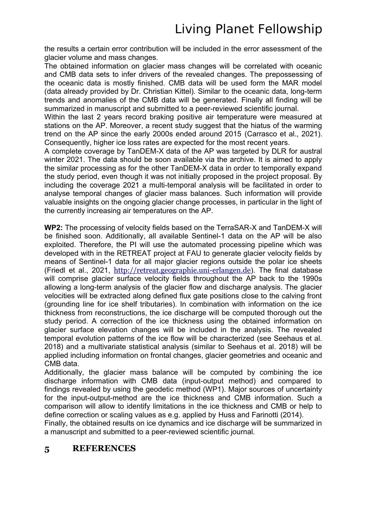the results a certain error contribution will be included in the error assessment of the glacier volume and mass changes.

The obtained information on glacier mass changes will be correlated with oceanic and CMB data sets to infer drivers of the revealed changes. The prepossessing of the oceanic data is mostly finished. CMB data will be used form the MAR model (data already provided by Dr. Christian Kittel). Similar to the oceanic data, long-term trends and anomalies of the CMB data will be generated. Finally all finding will be summarized in manuscript and submitted to a peer-reviewed scientific journal.

Within the last 2 years record braking positive air temperature were measured at stations on the AP. Moreover, a recent study suggest that the hiatus of the warming trend on the AP since the early 2000s ended around 2015 (Carrasco et al., 2021). Consequently, higher ice loss rates are expected for the most recent years.

A complete coverage by TanDEM-X data of the AP was targeted by DLR for austral winter 2021. The data should be soon available via the archive. It is aimed to apply the similar processing as for the other TanDEM-X data in order to temporally expand the study period, even though it was not initially proposed in the project proposal. By including the coverage 2021 a multi-temporal analysis will be facilitated in order to analyse temporal changes of glacier mass balances. Such information will provide valuable insights on the ongoing glacier change processes, in particular in the light of the currently increasing air temperatures on the AP.

**WP2:** The processing of velocity fields based on the TerraSAR-X and TanDEM-X will be finished soon. Additionally, all available Sentinel-1 data on the AP will be also exploited. Therefore, the PI will use the automated processing pipeline which was developed with in the RETREAT project at FAU to generate glacier velocity fields by means of Sentinel-1 data for all major glacier regions outside the polar ice sheets (Friedl et al., 2021, [http://retreat.geographie.uni-erlangen.de](http://retreat.geographie.uni-erlangen.de/)). The final database will comprise glacier surface velocity fields throughout the AP back to the 1990s allowing a long-term analysis of the glacier flow and discharge analysis. The glacier velocities will be extracted along defined flux gate positions close to the calving front (grounding line for ice shelf tributaries). In combination with information on the ice thickness from reconstructions, the ice discharge will be computed thorough out the study period. A correction of the ice thickness using the obtained information on glacier surface elevation changes will be included in the analysis. The revealed temporal evolution patterns of the ice flow will be characterized (see Seehaus et al. 2018) and a multivariate statistical analysis (similar to Seehaus et al. 2018) will be applied including information on frontal changes, glacier geometries and oceanic and CMB data.

Additionally, the glacier mass balance will be computed by combining the ice discharge information with CMB data (input-output method) and compared to findings revealed by using the geodetic method (WP1). Major sources of uncertainty for the input-output-method are the ice thickness and CMB information. Such a comparison will allow to identify limitations in the ice thickness and CMB or help to define correction or scaling values as e.g. applied by Huss and Farinotti (2014).

Finally, the obtained results on ice dynamics and ice discharge will be summarized in a manuscript and submitted to a peer-reviewed scientific journal.

#### **5 REFERENCES**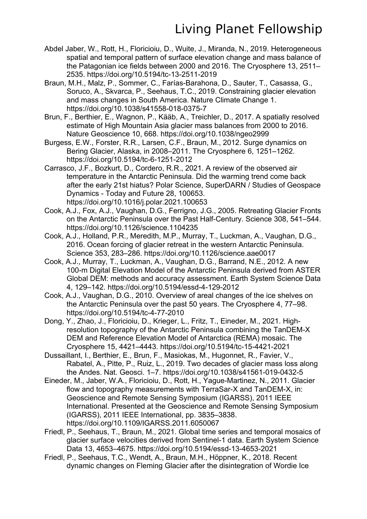- Abdel Jaber, W., Rott, H., Floricioiu, D., Wuite, J., Miranda, N., 2019. Heterogeneous spatial and temporal pattern of surface elevation change and mass balance of the Patagonian ice fields between 2000 and 2016. The Cryosphere 13, 2511– 2535. https://doi.org/10.5194/tc-13-2511-2019
- Braun, M.H., Malz, P., Sommer, C., Farías-Barahona, D., Sauter, T., Casassa, G., Soruco, A., Skvarca, P., Seehaus, T.C., 2019. Constraining glacier elevation and mass changes in South America. Nature Climate Change 1. https://doi.org/10.1038/s41558-018-0375-7
- Brun, F., Berthier, E., Wagnon, P., Kääb, A., Treichler, D., 2017. A spatially resolved estimate of High Mountain Asia glacier mass balances from 2000 to 2016. Nature Geoscience 10, 668. https://doi.org/10.1038/ngeo2999
- Burgess, E.W., Forster, R.R., Larsen, C.F., Braun, M., 2012. Surge dynamics on Bering Glacier, Alaska, in 2008–2011. The Cryosphere 6, 1251–1262. https://doi.org/10.5194/tc-6-1251-2012
- Carrasco, J.F., Bozkurt, D., Cordero, R.R., 2021. A review of the observed air temperature in the Antarctic Peninsula. Did the warming trend come back after the early 21st hiatus? Polar Science, SuperDARN / Studies of Geospace Dynamics - Today and Future 28, 100653. https://doi.org/10.1016/j.polar.2021.100653
- Cook, A.J., Fox, A.J., Vaughan, D.G., Ferrigno, J.G., 2005. Retreating Glacier Fronts on the Antarctic Peninsula over the Past Half-Century. Science 308, 541–544. https://doi.org/10.1126/science.1104235
- Cook, A.J., Holland, P.R., Meredith, M.P., Murray, T., Luckman, A., Vaughan, D.G., 2016. Ocean forcing of glacier retreat in the western Antarctic Peninsula. Science 353, 283–286. https://doi.org/10.1126/science.aae0017
- Cook, A.J., Murray, T., Luckman, A., Vaughan, D.G., Barrand, N.E., 2012. A new 100-m Digital Elevation Model of the Antarctic Peninsula derived from ASTER Global DEM: methods and accuracy assessment. Earth System Science Data 4, 129–142. https://doi.org/10.5194/essd-4-129-2012
- Cook, A.J., Vaughan, D.G., 2010. Overview of areal changes of the ice shelves on the Antarctic Peninsula over the past 50 years. The Cryosphere 4, 77–98. https://doi.org/10.5194/tc-4-77-2010
- Dong, Y., Zhao, J., Floricioiu, D., Krieger, L., Fritz, T., Eineder, M., 2021. Highresolution topography of the Antarctic Peninsula combining the TanDEM-X DEM and Reference Elevation Model of Antarctica (REMA) mosaic. The Cryosphere 15, 4421–4443. https://doi.org/10.5194/tc-15-4421-2021
- Dussaillant, I., Berthier, E., Brun, F., Masiokas, M., Hugonnet, R., Favier, V., Rabatel, A., Pitte, P., Ruiz, L., 2019. Two decades of glacier mass loss along the Andes. Nat. Geosci. 1–7. https://doi.org/10.1038/s41561-019-0432-5
- Eineder, M., Jaber, W.A., Floricioiu, D., Rott, H., Yague-Martinez, N., 2011. Glacier flow and topography measurements with TerraSar-X and TanDEM-X, in: Geoscience and Remote Sensing Symposium (IGARSS), 2011 IEEE International. Presented at the Geoscience and Remote Sensing Symposium (IGARSS), 2011 IEEE International, pp. 3835–3838. https://doi.org/10.1109/IGARSS.2011.6050067
- Friedl, P., Seehaus, T., Braun, M., 2021. Global time series and temporal mosaics of glacier surface velocities derived from Sentinel-1 data. Earth System Science Data 13, 4653–4675. https://doi.org/10.5194/essd-13-4653-2021
- Friedl, P., Seehaus, T.C., Wendt, A., Braun, M.H., Höppner, K., 2018. Recent dynamic changes on Fleming Glacier after the disintegration of Wordie Ice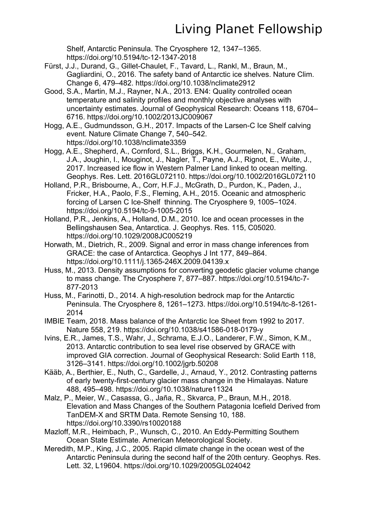Shelf, Antarctic Peninsula. The Cryosphere 12, 1347–1365. https://doi.org/10.5194/tc-12-1347-2018

- Fürst, J.J., Durand, G., Gillet-Chaulet, F., Tavard, L., Rankl, M., Braun, M., Gagliardini, O., 2016. The safety band of Antarctic ice shelves. Nature Clim. Change 6, 479–482. https://doi.org/10.1038/nclimate2912
- Good, S.A., Martin, M.J., Rayner, N.A., 2013. EN4: Quality controlled ocean temperature and salinity profiles and monthly objective analyses with uncertainty estimates. Journal of Geophysical Research: Oceans 118, 6704– 6716. https://doi.org/10.1002/2013JC009067
- Hogg, A.E., Gudmundsson, G.H., 2017. Impacts of the Larsen-C Ice Shelf calving event. Nature Climate Change 7, 540–542. https://doi.org/10.1038/nclimate3359
- Hogg, A.E., Shepherd, A., Cornford, S.L., Briggs, K.H., Gourmelen, N., Graham, J.A., Joughin, I., Mouginot, J., Nagler, T., Payne, A.J., Rignot, E., Wuite, J., 2017. Increased ice flow in Western Palmer Land linked to ocean melting. Geophys. Res. Lett. 2016GL072110. https://doi.org/10.1002/2016GL072110
- Holland, P.R., Brisbourne, A., Corr, H.F.J., McGrath, D., Purdon, K., Paden, J., Fricker, H.A., Paolo, F.S., Fleming, A.H., 2015. Oceanic and atmospheric forcing of Larsen C Ice-Shelf thinning. The Cryosphere 9, 1005–1024. https://doi.org/10.5194/tc-9-1005-2015
- Holland, P.R., Jenkins, A., Holland, D.M., 2010. Ice and ocean processes in the Bellingshausen Sea, Antarctica. J. Geophys. Res. 115, C05020. https://doi.org/10.1029/2008JC005219
- Horwath, M., Dietrich, R., 2009. Signal and error in mass change inferences from GRACE: the case of Antarctica. Geophys J Int 177, 849–864. https://doi.org/10.1111/j.1365-246X.2009.04139.x
- Huss, M., 2013. Density assumptions for converting geodetic glacier volume change to mass change. The Cryosphere 7, 877–887. https://doi.org/10.5194/tc-7- 877-2013
- Huss, M., Farinotti, D., 2014. A high-resolution bedrock map for the Antarctic Peninsula. The Cryosphere 8, 1261–1273. https://doi.org/10.5194/tc-8-1261- 2014
- IMBIE Team, 2018. Mass balance of the Antarctic Ice Sheet from 1992 to 2017. Nature 558, 219. https://doi.org/10.1038/s41586-018-0179-y
- Ivins, E.R., James, T.S., Wahr, J., Schrama, E.J.O., Landerer, F.W., Simon, K.M., 2013. Antarctic contribution to sea level rise observed by GRACE with improved GIA correction. Journal of Geophysical Research: Solid Earth 118, 3126–3141. https://doi.org/10.1002/jgrb.50208
- Kääb, A., Berthier, E., Nuth, C., Gardelle, J., Arnaud, Y., 2012. Contrasting patterns of early twenty-first-century glacier mass change in the Himalayas. Nature 488, 495–498. https://doi.org/10.1038/nature11324
- Malz, P., Meier, W., Casassa, G., Jaña, R., Skvarca, P., Braun, M.H., 2018. Elevation and Mass Changes of the Southern Patagonia Icefield Derived from TanDEM-X and SRTM Data. Remote Sensing 10, 188. https://doi.org/10.3390/rs10020188
- Mazloff, M.R., Heimbach, P., Wunsch, C., 2010. An Eddy-Permitting Southern Ocean State Estimate. American Meteorological Society.
- Meredith, M.P., King, J.C., 2005. Rapid climate change in the ocean west of the Antarctic Peninsula during the second half of the 20th century. Geophys. Res. Lett. 32, L19604. https://doi.org/10.1029/2005GL024042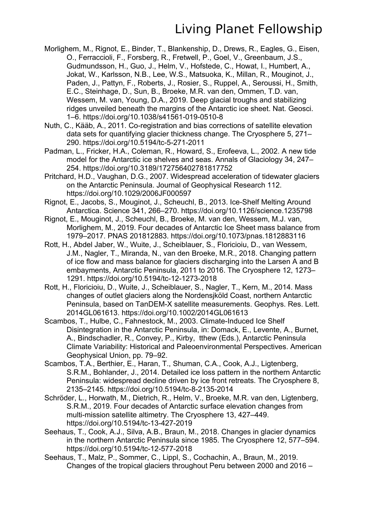- Morlighem, M., Rignot, E., Binder, T., Blankenship, D., Drews, R., Eagles, G., Eisen, O., Ferraccioli, F., Forsberg, R., Fretwell, P., Goel, V., Greenbaum, J.S., Gudmundsson, H., Guo, J., Helm, V., Hofstede, C., Howat, I., Humbert, A., Jokat, W., Karlsson, N.B., Lee, W.S., Matsuoka, K., Millan, R., Mouginot, J., Paden, J., Pattyn, F., Roberts, J., Rosier, S., Ruppel, A., Seroussi, H., Smith, E.C., Steinhage, D., Sun, B., Broeke, M.R. van den, Ommen, T.D. van, Wessem, M. van, Young, D.A., 2019. Deep glacial troughs and stabilizing ridges unveiled beneath the margins of the Antarctic ice sheet. Nat. Geosci. 1–6. https://doi.org/10.1038/s41561-019-0510-8
- Nuth, C., Kääb, A., 2011. Co-registration and bias corrections of satellite elevation data sets for quantifying glacier thickness change. The Cryosphere 5, 271– 290. https://doi.org/10.5194/tc-5-271-2011
- Padman, L., Fricker, H.A., Coleman, R., Howard, S., Erofeeva, L., 2002. A new tide model for the Antarctic ice shelves and seas. Annals of Glaciology 34, 247– 254. https://doi.org/10.3189/172756402781817752
- Pritchard, H.D., Vaughan, D.G., 2007. Widespread acceleration of tidewater glaciers on the Antarctic Peninsula. Journal of Geophysical Research 112. https://doi.org/10.1029/2006JF000597
- Rignot, E., Jacobs, S., Mouginot, J., Scheuchl, B., 2013. Ice-Shelf Melting Around Antarctica. Science 341, 266–270. https://doi.org/10.1126/science.1235798
- Rignot, E., Mouginot, J., Scheuchl, B., Broeke, M. van den, Wessem, M.J. van, Morlighem, M., 2019. Four decades of Antarctic Ice Sheet mass balance from 1979–2017. PNAS 201812883. https://doi.org/10.1073/pnas.1812883116
- Rott, H., Abdel Jaber, W., Wuite, J., Scheiblauer, S., Floricioiu, D., van Wessem, J.M., Nagler, T., Miranda, N., van den Broeke, M.R., 2018. Changing pattern of ice flow and mass balance for glaciers discharging into the Larsen A and B embayments, Antarctic Peninsula, 2011 to 2016. The Cryosphere 12, 1273– 1291. https://doi.org/10.5194/tc-12-1273-2018
- Rott, H., Floricioiu, D., Wuite, J., Scheiblauer, S., Nagler, T., Kern, M., 2014. Mass changes of outlet glaciers along the Nordensjköld Coast, northern Antarctic Peninsula, based on TanDEM-X satellite measurements. Geophys. Res. Lett. 2014GL061613. https://doi.org/10.1002/2014GL061613
- Scambos, T., Hulbe, C., Fahnestock, M., 2003. Climate-Induced Ice Shelf Disintegration in the Antarctic Peninsula, in: Domack, E., Levente, A., Burnet, A., Bindschadler, R., Convey, P., Kirby, tthew (Eds.), Antarctic Peninsula Climate Variability: Historical and Paleoenvironmental Perspectives. American Geophysical Union, pp. 79–92.
- Scambos, T.A., Berthier, E., Haran, T., Shuman, C.A., Cook, A.J., Ligtenberg, S.R.M., Bohlander, J., 2014. Detailed ice loss pattern in the northern Antarctic Peninsula: widespread decline driven by ice front retreats. The Cryosphere 8, 2135–2145. https://doi.org/10.5194/tc-8-2135-2014
- Schröder, L., Horwath, M., Dietrich, R., Helm, V., Broeke, M.R. van den, Ligtenberg, S.R.M., 2019. Four decades of Antarctic surface elevation changes from multi-mission satellite altimetry. The Cryosphere 13, 427–449. https://doi.org/10.5194/tc-13-427-2019
- Seehaus, T., Cook, A.J., Silva, A.B., Braun, M., 2018. Changes in glacier dynamics in the northern Antarctic Peninsula since 1985. The Cryosphere 12, 577–594. https://doi.org/10.5194/tc-12-577-2018
- Seehaus, T., Malz, P., Sommer, C., Lippl, S., Cochachin, A., Braun, M., 2019. Changes of the tropical glaciers throughout Peru between 2000 and 2016 –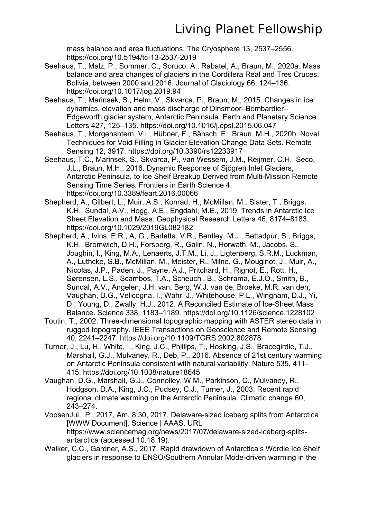mass balance and area fluctuations. The Cryosphere 13, 2537–2556. https://doi.org/10.5194/tc-13-2537-2019

- Seehaus, T., Malz, P., Sommer, C., Soruco, A., Rabatel, A., Braun, M., 2020a. Mass balance and area changes of glaciers in the Cordillera Real and Tres Cruces, Bolivia, between 2000 and 2016. Journal of Glaciology 66, 124–136. https://doi.org/10.1017/jog.2019.94
- Seehaus, T., Marinsek, S., Helm, V., Skvarca, P., Braun, M., 2015. Changes in ice dynamics, elevation and mass discharge of Dinsmoor–Bombardier– Edgeworth glacier system, Antarctic Peninsula. Earth and Planetary Science Letters 427, 125–135. https://doi.org/10.1016/j.epsl.2015.06.047
- Seehaus, T., Morgenshtern, V.I., Hübner, F., Bänsch, E., Braun, M.H., 2020b. Novel Techniques for Void Filling in Glacier Elevation Change Data Sets. Remote Sensing 12, 3917. https://doi.org/10.3390/rs12233917
- Seehaus, T.C., Marinsek, S., Skvarca, P., van Wessem, J.M., Reijmer, C.H., Seco, J.L., Braun, M.H., 2016. Dynamic Response of Sjögren Inlet Glaciers, Antarctic Peninsula, to Ice Shelf Breakup Derived from Multi-Mission Remote Sensing Time Series. Frontiers in Earth Science 4. https://doi.org/10.3389/feart.2016.00066
- Shepherd, A., Gilbert, L., Muir, A.S., Konrad, H., McMillan, M., Slater, T., Briggs, K.H., Sundal, A.V., Hogg, A.E., Engdahl, M.E., 2019. Trends in Antarctic Ice Sheet Elevation and Mass. Geophysical Research Letters 46, 8174–8183. https://doi.org/10.1029/2019GL082182
- Shepherd, A., Ivins, E.R., A, G., Barletta, V.R., Bentley, M.J., Bettadpur, S., Briggs, K.H., Bromwich, D.H., Forsberg, R., Galin, N., Horwath, M., Jacobs, S., Joughin, I., King, M.A., Lenaerts, J.T.M., Li, J., Ligtenberg, S.R.M., Luckman, A., Luthcke, S.B., McMillan, M., Meister, R., Milne, G., Mouginot, J., Muir, A., Nicolas, J.P., Paden, J., Payne, A.J., Pritchard, H., Rignot, E., Rott, H., Sørensen, L.S., Scambos, T.A., Scheuchl, B., Schrama, E.J.O., Smith, B., Sundal, A.V., Angelen, J.H. van, Berg, W.J. van de, Broeke, M.R. van den, Vaughan, D.G., Velicogna, I., Wahr, J., Whitehouse, P.L., Wingham, D.J., Yi, D., Young, D., Zwally, H.J., 2012. A Reconciled Estimate of Ice-Sheet Mass Balance. Science 338, 1183–1189. https://doi.org/10.1126/science.1228102
- Toutin, T., 2002. Three-dimensional topographic mapping with ASTER stereo data in rugged topography. IEEE Transactions on Geoscience and Remote Sensing 40, 2241–2247. https://doi.org/10.1109/TGRS.2002.802878
- Turner, J., Lu, H., White, I., King, J.C., Phillips, T., Hosking, J.S., Bracegirdle, T.J., Marshall, G.J., Mulvaney, R., Deb, P., 2016. Absence of 21st century warming on Antarctic Peninsula consistent with natural variability. Nature 535, 411– 415. https://doi.org/10.1038/nature18645
- Vaughan, D.G., Marshall, G.J., Connolley, W.M., Parkinson, C., Mulvaney, R., Hodgson, D.A., King, J.C., Pudsey, C.J., Turner, J., 2003. Recent rapid regional climate warming on the Antarctic Peninsula. Climatic change 60, 243–274.
- VoosenJul., P., 2017, Am, 8:30, 2017. Delaware-sized iceberg splits from Antarctica [WWW Document]. Science | AAAS. URL https://www.sciencemag.org/news/2017/07/delaware-sized-iceberg-splitsantarctica (accessed 10.18.19).
- Walker, C.C., Gardner, A.S., 2017. Rapid drawdown of Antarctica's Wordie Ice Shelf glaciers in response to ENSO/Southern Annular Mode-driven warming in the